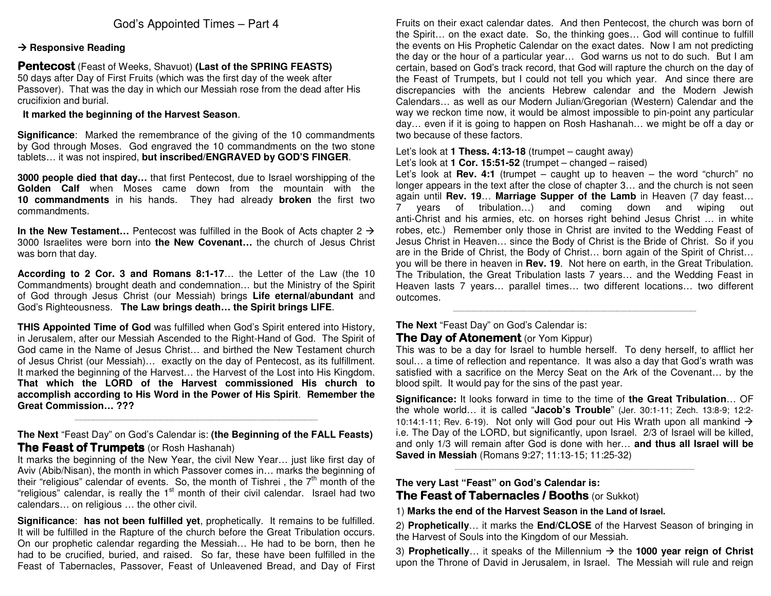## God's Appointed Times – Part 4

#### **→ Responsive Reading**

#### Pentecost (Feast of Weeks, Shavuot) **(Last of the SPRING FEASTS)**

 50 days after Day of First Fruits (which was the first day of the week after Passover). That was the day in which our Messiah rose from the dead after His crucifixion and burial.

#### **It marked the beginning of the Harvest Season**.

**Significance**: Marked the remembrance of the giving of the 10 commandments by God through Moses. God engraved the 10 commandments on the two stone tablets… it was not inspired, **but inscribed/ENGRAVED by GOD'S FINGER**.

**3000 people died that day…** that first Pentecost, due to Israel worshipping of the **Golden Calf** when Moses came down from the mountain with the **10 commandments** in his hands. They had already **broken** the first two commandments.

**In the New Testament…** Pentecost was fulfilled in the Book of Acts chapter 2  $\rightarrow$  3000 Israelites were born into **the New Covenant…** the church of Jesus Christ was born that day.

**According to 2 Cor. 3 and Romans 8:1-17**… the Letter of the Law (the 10 Commandments) brought death and condemnation… but the Ministry of the Spirit of God through Jesus Christ (our Messiah) brings **Life eternal/abundant** and God's Righteousness. **The Law brings death… the Spirit brings LIFE**.

**THIS Appointed Time of God** was fulfilled when God's Spirit entered into History, in Jerusalem, after our Messiah Ascended to the Right-Hand of God. The Spirit of God came in the Name of Jesus Christ… and birthed the New Testament church of Jesus Christ (our Messiah)… exactly on the day of Pentecost, as its fulfillment. It marked the beginning of the Harvest… the Harvest of the Lost into His Kingdom. **That which the LORD of the Harvest commissioned His church to accomplish according to His Word in the Power of His Spirit**. **Remember the Great Commission… ???** 

**The Next** "Feast Day" on God's Calendar is: **(the Beginning of the FALL Feasts)The Feast of Trumpets** (or Rosh Hashanah)

 It marks the beginning of the New Year, the civil New Year… just like first day of Aviv (Abib/Nisan), the month in which Passover comes in… marks the beginning of their "religious" calendar of events. So, the month of Tishrei, the  $7<sup>th</sup>$  month of the "religious" calendar, is really the 1<sup>st</sup> month of their civil calendar. Israel had two calendars… on religious … the other civil.

**Significance**: **has not been fulfilled yet**, prophetically. It remains to be fulfilled. It will be fulfilled in the Rapture of the church before the Great Tribulation occurs. On our prophetic calendar regarding the Messiah… He had to be born, then he had to be crucified, buried, and raised. So far, these have been fulfilled in the Feast of Tabernacles, Passover, Feast of Unleavened Bread, and Day of First Fruits on their exact calendar dates. And then Pentecost, the church was born of the Spirit… on the exact date. So, the thinking goes… God will continue to fulfill the events on His Prophetic Calendar on the exact dates. Now I am not predicting the day or the hour of a particular year… God warns us not to do such. But I am certain, based on God's track record, that God will rapture the church on the day of the Feast of Trumpets, but I could not tell you which year. And since there are discrepancies with the ancients Hebrew calendar and the Modern Jewish Calendars… as well as our Modern Julian/Gregorian (Western) Calendar and the way we reckon time now, it would be almost impossible to pin-point any particular day… even if it is going to happen on Rosh Hashanah… we might be off a day or two because of these factors.

Let's look at **1 Thess. 4:13-18** (trumpet – caught away)

Let's look at **1 Cor. 15:51-52** (trumpet – changed – raised)

 Let's look at **Rev. 4:1** (trumpet – caught up to heaven – the word "church" no longer appears in the text after the close of chapter 3… and the church is not seen again until **Rev. 19**… **Marriage Supper of the Lamb** in Heaven (7 day feast… 7 years of tribulation…) and coming down and wiping out anti-Christ and his armies, etc. on horses right behind Jesus Christ … in white robes, etc.) Remember only those in Christ are invited to the Wedding Feast of Jesus Christ in Heaven… since the Body of Christ is the Bride of Christ. So if you are in the Bride of Christ, the Body of Christ… born again of the Spirit of Christ… you will be there in heaven in **Rev. 19**. Not here on earth, in the Great Tribulation. The Tribulation, the Great Tribulation lasts 7 years… and the Wedding Feast in Heaven lasts 7 years… parallel times… two different locations… two different outcomes.

# **The Next** "Feast Day" on God's Calendar is:

### **The Day of Atonement** (or Yom Kippur)

This was to be a day for Israel to humble herself. To deny herself, to afflict her soul… a time of reflection and repentance. It was also a day that God's wrath was satisfied with a sacrifice on the Mercy Seat on the Ark of the Covenant… by the blood spilt. It would pay for the sins of the past year.

**Significance:** It looks forward in time to the time of **the Great Tribulation**… OF the whole world… it is called "**Jacob's Trouble**" (Jer. 30:1-11; Zech. 13:8-9; 12:2-10:14:1-11; Rev. 6-19). Not only will God pour out His Wrath upon all mankind  $\rightarrow$  i.e. The Day of the LORD, but significantly, upon Israel. 2/3 of Israel will be killed, and only 1/3 will remain after God is done with her… **and thus all Israel will be Saved in Messiah** (Romans 9:27; 11:13-15; 11:25-32)

----------------------------------------------------------------------------------------------------------------------------------------------------

#### **The very Last "Feast" on God's Calendar is:**

## **The Feast of Tabernacles / Booths** (or Sukkot)

1) **Marks the end of the Harvest Season in the Land of Israel.** 

2) **Prophetically**… it marks the **End/CLOSE** of the Harvest Season of bringing in the Harvest of Souls into the Kingdom of our Messiah.

3) **Prophetically**… it speaks of the Millennium the **1000 year reign of Christ**upon the Throne of David in Jerusalem, in Israel. The Messiah will rule and reign